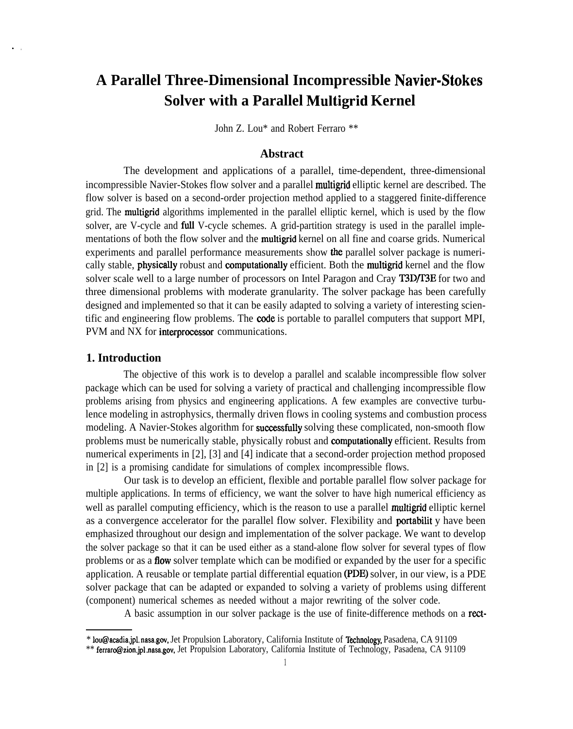# **A Parallel Three-Dimensional Incompressible Navier-Stokes Solver with a Parallel Multigrid Kernel**

John Z. Lou\* and Robert Ferraro \*\*

# **Abstract**

The development and applications of a parallel, time-dependent, three-dimensional incompressible Navier-Stokes flow solver and a parallel multigrid elliptic kernel are described. The flow solver is based on a second-order projection method applied to a staggered finite-difference grid. The multigrid algorithms implemented in the parallel elliptic kernel, which is used by the flow solver, are V-cycle and **full** V-cycle schemes. A grid-partition strategy is used in the parallel implementations of both the flow solver and the multigrid kernel on all fine and coarse grids. Numerical experiments and parallel performance measurements show the parallel solver package is numerically stable, physically robust and computationally efficient. Both the multigrid kernel and the flow solver scale well to a large number of processors on Intel Paragon and Cray T3D/T3E for two and three dimensional problems with moderate granularity. The solver package has been carefully designed and implemented so that it can be easily adapted to solving a variety of interesting scientific and engineering flow problems. The code is portable to parallel computers that support MPI, PVM and NX for interprocessor communications.

#### **1. Introduction**

.,

The objective of this work is to develop a parallel and scalable incompressible flow solver package which can be used for solving a variety of practical and challenging incompressible flow problems arising from physics and engineering applications. A few examples are convective turbulence modeling in astrophysics, thermally driven flows in cooling systems and combustion process modeling. A Navier-Stokes algorithm for successfully solving these complicated, non-smooth flow problems must be numerically stable, physically robust and computationally efficient. Results from numerical experiments in [2], [3] and [4] indicate that a second-order projection method proposed in [2] is a promising candidate for simulations of complex incompressible flows.

Our task is to develop an efficient, flexible and portable parallel flow solver package for multiple applications. In terms of efficiency, we want the solver to have high numerical efficiency as well as parallel computing efficiency, which is the reason to use a parallel **multigrid** elliptic kernel as a convergence accelerator for the parallel flow solver. Flexibility and portability have been emphasized throughout our design and implementation of the solver package. We want to develop the solver package so that it can be used either as a stand-alone flow solver for several types of flow problems or as a flow solver template which can be modified or expanded by the user for a specific application. A reusable or template partial differential equation (PDE) solver, in our view, is a PDE solver package that can be adapted or expanded to solving a variety of problems using different (component) numerical schemes as needed without a major rewriting of the solver code.

A basic assumption in our solver package is the use of finite-difference methods on a rect-

<sup>\*</sup> lou@acadia.jpl. nasa.gov, Jet Propulsion Laboratory, California Institute of Technology, Pasadena, CA 91109

<sup>\*\*</sup> ferraro@zion.jpl .nasa.gov, Jet Propulsion Laboratory, California Institute of Technology, Pasadena, CA 91109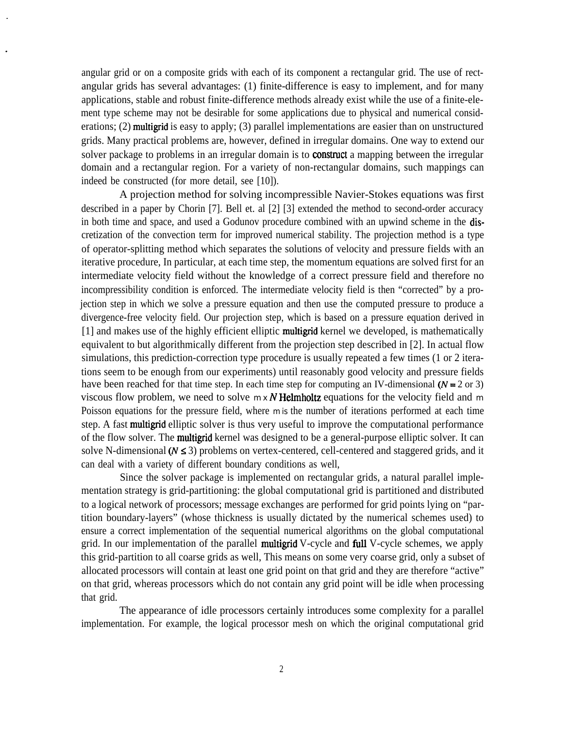angular grid or on a composite grids with each of its component a rectangular grid. The use of rectangular grids has several advantages: (1) finite-difference is easy to implement, and for many applications, stable and robust finite-difference methods already exist while the use of a finite-element type scheme may not be desirable for some applications due to physical and numerical considerations; (2) multigrid is easy to apply; (3) parallel implementations are easier than on unstructured grids. Many practical problems are, however, defined in irregular domains. One way to extend our solver package to problems in an irregular domain is to **construct** a mapping between the irregular domain and a rectangular region. For a variety of non-rectangular domains, such mappings can indeed be constructed (for more detail, see [10]).

A projection method for solving incompressible Navier-Stokes equations was first described in a paper by Chorin [7]. Bell et. al [2] [3] extended the method to second-order accuracy in both time and space, and used a Godunov procedure combined with an upwind scheme in the discretization of the convection term for improved numerical stability. The projection method is a type of operator-splitting method which separates the solutions of velocity and pressure fields with an iterative procedure, In particular, at each time step, the momentum equations are solved first for an intermediate velocity field without the knowledge of a correct pressure field and therefore no incompressibility condition is enforced. The intermediate velocity field is then "corrected" by a projection step in which we solve a pressure equation and then use the computed pressure to produce a divergence-free velocity field. Our projection step, which is based on a pressure equation derived in [1] and makes use of the highly efficient elliptic **multigrid** kernel we developed, is mathematically equivalent to but algorithmically different from the projection step described in [2]. In actual flow simulations, this prediction-correction type procedure is usually repeated a few times (1 or 2 iterations seem to be enough from our experiments) until reasonably good velocity and pressure fields have been reached for that time step. In each time step for computing an IV-dimensional  $(N = 2 \text{ or } 3)$ viscous flow problem, we need to solve *m x N* Hehnholtz equations for the velocity field and *m* Poisson equations for the pressure field, where *m is* the number of iterations performed at each time step. A fast multigrid elliptic solver is thus very useful to improve the computational performance of the flow solver. The multigrid kernel was designed to be a general-purpose elliptic solver. It can solve N-dimensional ( $N \le 3$ ) problems on vertex-centered, cell-centered and staggered grids, and it can deal with a variety of different boundary conditions as well,

Since the solver package is implemented on rectangular grids, a natural parallel implementation strategy is grid-partitioning: the global computational grid is partitioned and distributed to a logical network of processors; message exchanges are performed for grid points lying on "partition boundary-layers" (whose thickness is usually dictated by the numerical schemes used) to ensure a correct implementation of the sequential numerical algorithms on the global computational grid. In our implementation of the parallel multigrid V-cycle and full V-cycle schemes, we apply this grid-partition to all coarse grids as well, This means on some very coarse grid, only a subset of allocated processors will contain at least one grid point on that grid and they are therefore "active" on that grid, whereas processors which do not contain any grid point will be idle when processing that grid.

The appearance of idle processors certainly introduces some complexity for a parallel implementation. For example, the logical processor mesh on which the original computational grid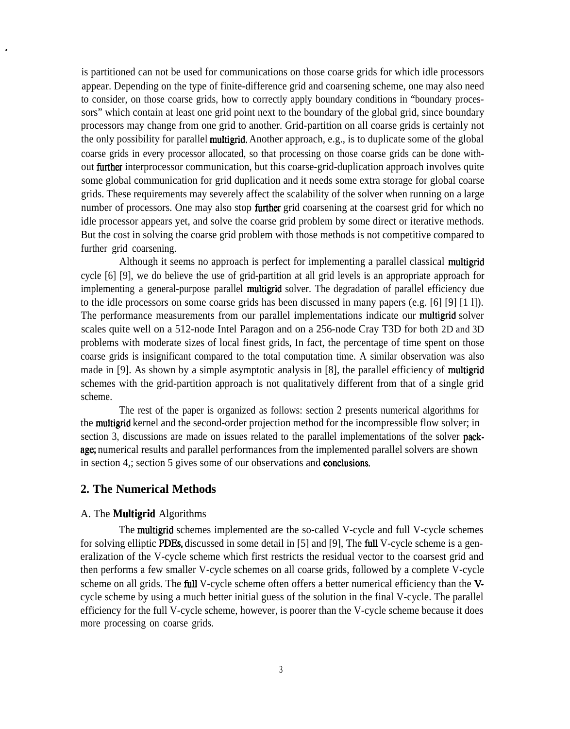is partitioned can not be used for communications on those coarse grids for which idle processors appear. Depending on the type of finite-difference grid and coarsening scheme, one may also need to consider, on those coarse grids, how to correctly apply boundary conditions in "boundary processors" which contain at least one grid point next to the boundary of the global grid, since boundary processors may change from one grid to another. Grid-partition on all coarse grids is certainly not the only possibility for parallel multigrid. Another approach, e.g., is to duplicate some of the global coarse grids in every processor allocated, so that processing on those coarse grids can be done without firther interprocessor communication, but this coarse-grid-duplication approach involves quite some global communication for grid duplication and it needs some extra storage for global coarse grids. These requirements may severely affect the scalability of the solver when running on a large number of processors. One may also stop further grid coarsening at the coarsest grid for which no idle processor appears yet, and solve the coarse grid problem by some direct or iterative methods. But the cost in solving the coarse grid problem with those methods is not competitive compared to further grid coarsening.

Although it seems no approach is perfect for implementing a parallel classical multigrid cycle [6] [9], we do believe the use of grid-partition at all grid levels is an appropriate approach for implementing a general-purpose parallel **multigrid** solver. The degradation of parallel efficiency due to the idle processors on some coarse grids has been discussed in many papers (e.g. [6] [9] [1 l]). The performance measurements from our parallel implementations indicate our multigrid solver scales quite well on a 512-node Intel Paragon and on a 256-node Cray T3D for both 2D and 3D problems with moderate sizes of local finest grids, In fact, the percentage of time spent on those coarse grids is insignificant compared to the total computation time. A similar observation was also made in [9]. As shown by a simple asymptotic analysis in [8], the parallel efficiency of multigrid schemes with the grid-partition approach is not qualitatively different from that of a single grid scheme.

The rest of the paper is organized as follows: section 2 presents numerical algorithms for the multigrid kernel and the second-order projection method for the incompressible flow solver; in section 3, discussions are made on issues related to the parallel implementations of the solver package; numerical results and parallel performances from the implemented parallel solvers are shown in section 4,; section 5 gives some of our observations and **conclusions**.

# **2. The Numerical Methods**

.

# A. The Multigrid Algorithms

The multigrid schemes implemented are the so-called V-cycle and full V-cycle schemes for solving elliptic PDEs, discussed in some detail in [5] and [9], The fidl V-cycle scheme is a generalization of the V-cycle scheme which first restricts the residual vector to the coarsest grid and then performs a few smaller V-cycle schemes on all coarse grids, followed by a complete V-cycle scheme on all grids. The full V-cycle scheme often offers a better numerical efficiency than the Vcycle scheme by using a much better initial guess of the solution in the final V-cycle. The parallel efficiency for the full V-cycle scheme, however, is poorer than the V-cycle scheme because it does more processing on coarse grids.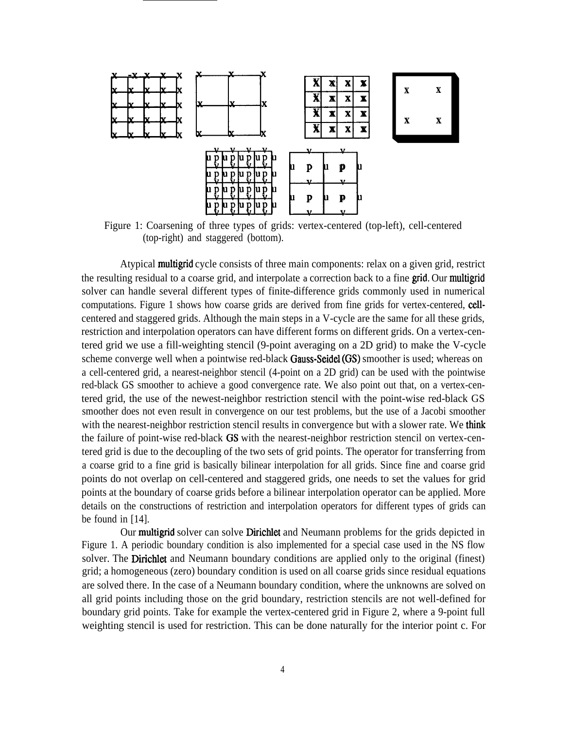

(top-right) and staggered (bottom).

Atypical multigrid cycle consists of three main components: relax on a given grid, restrict the resulting residual to a coarse grid, and interpolate a correction back to a fine grid, Our multigrid solver can handle several different types of finite-difference grids commonly used in numerical computations. Figure 1 shows how coarse grids are derived from fine grids for vertex-centered, cellcentered and staggered grids. Although the main steps in a V-cycle are the same for all these grids, restriction and interpolation operators can have different forms on different grids. On a vertex-centered grid we use a fill-weighting stencil (9-point averaging on a 2D grid) to make the V-cycle scheme converge well when a pointwise red-black Gauss-Seidel (GS) smoother is used; whereas on a cell-centered grid, a nearest-neighbor stencil (4-point on a 2D grid) can be used with the pointwise red-black GS smoother to achieve a good convergence rate. We also point out that, on a vertex-centered grid, the use of the newest-neighbor restriction stencil with the point-wise red-black GS smoother does not even result in convergence on our test problems, but the use of a Jacobi smoother with the nearest-neighbor restriction stencil results in convergence but with a slower rate. We think the failure of point-wise red-black GS with the nearest-neighbor restriction stencil on vertex-centered grid is due to the decoupling of the two sets of grid points. The operator for transferring from a coarse grid to a fine grid is basically bilinear interpolation for all grids. Since fine and coarse grid points do not overlap on cell-centered and staggered grids, one needs to set the values for grid points at the boundary of coarse grids before a bilinear interpolation operator can be applied. More details on the constructions of restriction and interpolation operators for different types of grids can be found in [14].

Our **multigrid** solver can solve **Dirichlet** and Neumann problems for the grids depicted in Figure 1. A periodic boundary condition is also implemented for a special case used in the NS flow solver. The **Dirichlet** and Neumann boundary conditions are applied only to the original (finest) grid; a homogeneous (zero) boundary condition is used on all coarse grids since residual equations are solved there. In the case of a Neumann boundary condition, where the unknowns are solved on all grid points including those on the grid boundary, restriction stencils are not well-defined for boundary grid points. Take for example the vertex-centered grid in Figure 2, where a 9-point full weighting stencil is used for restriction. This can be done naturally for the interior point c. For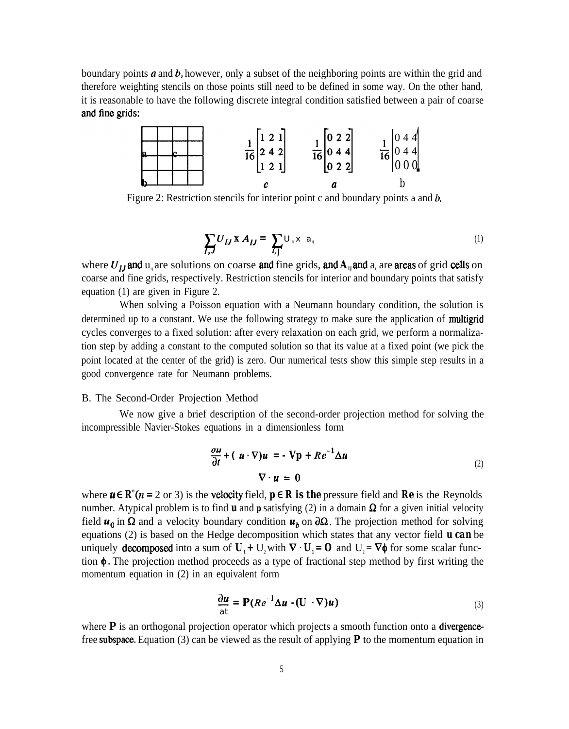boundary points  $a$  and  $b$ , however, only a subset of the neighboring points are within the grid and therefore weighting stencils on those points still need to be defined in some way. On the other hand, it is reasonable to have the following discrete integral condition satisfied between a pair of coarse and fine grids:



Figure 2: Restriction stencils for interior point c and boundary points *a* and b.

$$
\sum_{i,j} U_{IJ} \times A_{IJ} = \sum_{i,j} U_{ij} \times a_{ij} \tag{1}
$$

where  $U_{IJ}$  and  $u_{ij}$  are solutions on coarse and fine grids, and  $A_{IJ}$  and  $a_{ij}$  are areas of grid cells on coarse and fine grids, respectively. Restriction stencils for interior and boundary points that satisfy equation (1) are given in Figure 2.

When solving a Poisson equation with a Neumann boundary condition, the solution is determined up to a constant. We use the following strategy to make sure the application of multigrid cycles converges to a fixed solution: after every relaxation on each grid, we perform a normalization step by adding a constant to the computed solution so that its value at a fixed point (we pick the point located at the center of the grid) is zero. Our numerical tests show this simple step results in a good convergence rate for Neumann problems.

#### B. The Second-Order Projection Method

We now give a brief description of the second-order projection method for solving the incompressible Navier-Stokes equations in a dimensionless form

$$
\frac{\partial u}{\partial t} + (u \cdot \nabla)u = - Vp + Re^{-1} \Delta u
$$
  

$$
\nabla \cdot u = 0
$$
 (2)

where  $u \in \mathbb{R}^n$  ( $n = 2$  or 3) is the velocity field,  $p \in \mathbb{R}$  is the pressure field and  $\mathbb{R}e$  is the Reynolds number. Atypical problem is to find  $\boldsymbol{u}$  and  $\boldsymbol{p}$  satisfying (2) in a domain  $\Omega$  for a given initial velocity field  $\mathbf{u}_0$  in  $\Omega$  and a velocity boundary condition  $\mathbf{u}_b$  on  $\partial\Omega$ . The projection method for solving equations (2) is based on the Hedge decomposition which states that any vector field *u can* be uniquely decomposed into a sum of  $U_1 + U_2$ , with  $\nabla \cdot U_1 = O$  and  $U_2 = \nabla \phi$  for some scalar function  $\phi$ . The projection method proceeds as a type of fractional step method by first writing the momentum equation in (2) in an equivalent form

$$
\frac{\partial u}{\partial t} = \mathbf{P}(Re^{-1}\Delta u - (U \cdot \nabla)u)
$$
 (3)

where **P** is an orthogonal projection operator which projects a smooth function onto a **divergence**free subspace. Equation (3) can be viewed as the result of applying  $P$  to the momentum equation in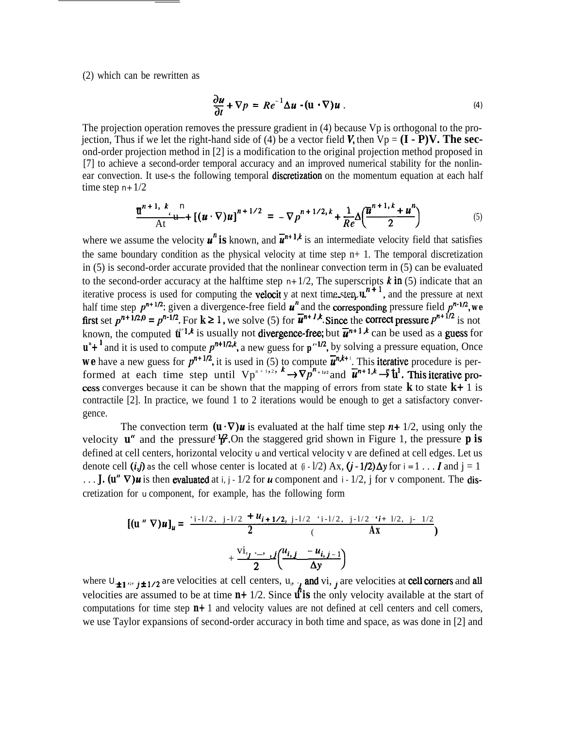(2) which can be rewritten as

$$
\frac{\partial u}{\partial t} + \nabla p = Re^{-1} \Delta u - (u \cdot \nabla) u \tag{4}
$$

The projection operation removes the pressure gradient in (4) because Vp is orthogonal to the projection, Thus if we let the right-hand side of (4) be a vector field  $V$ , then  $Vp = (\mathbf{I} - \mathbf{P})V$ . The second-order projection method in [2] is a modification to the original projection method proposed in [7] to achieve a second-order temporal accuracy and an improved numerical stability for the nonlinear convection. It use-s the following temporal discretization on the momentum equation at each half time step *n+* 1/2

$$
\frac{\overline{u}^{n+1, k} u}{\mathrm{At}} \mathbf{u} + \left[ (\mathbf{u} \cdot \nabla) \mathbf{u} \right]^{n+1/2} = - \nabla p^{n+1/2, k} + \frac{1}{Re} \Delta \left( \frac{\overline{u}^{n+1, k} + \mathbf{u}^n}{2} \right) \tag{5}
$$

where we assume the velocity  $u^n$  is known, and  $\overline{u}^{n+1,k}$  is an intermediate velocity field that satisfies the same boundary condition as the physical velocity at time step  $n+1$ . The temporal discretization in (5) is second-order accurate provided that the nonlinear convection term in (5) can be evaluated to the second-order accuracy at the halftime step  $n+1/2$ , The superscripts **k** in (5) indicate that an iterative process is used for computing the **velocit** y at next time step  $\mathbf{u}^{n+1}$ , and the pressure at next half time step  $p^{n+1/2}$ : given a divergence-free field  $u^n$  and the corresponding pressure field  $p^{n-1/2}$ , we first set  $p^{n+1/2,0} = p^{n-1/2}$ . For  $k \ge 1$ , we solve (5) for  $\overline{u}^{n+1,k}$ . Since the correct pressure  $p^{n+1/2}$  is not known, the computed  $\hat{u}^{n+1,k}$  is usually not **divergence-free;** but  $\overline{u}^{n+1,k}$  can be used as a **guess** for  $u'' +$ <sup>1</sup> and it is used to compute  $p^{n+1/2, k}$ , a new guess for  $p^{1/2}$ , by solving a pressure equation, Once *we* have a new guess for  $p^{n+1/2}$ , it is used in (5) to compute  $\overline{u}^{n,k+1}$ . This iterative procedure is performed at each time step until  $Vp^{n+1}$ ,  $\rightarrow$   $\nabla p^{n+1}$ , and  $\overline{u}^{n+1,k}$   $\rightarrow$   $\overline{u}^{n+1}$ . This iterative pro**cess** converges because it can be shown that the mapping of errors from state  $k$  to state  $k+1$  is contractile [2]. In practice, we found 1 to 2 iterations would be enough to get a satisfactory convergence.

The convection term  $(\mathbf{u} \cdot \nabla) \mathbf{u}$  is evaluated at the half time step  $\mathbf{n} + \frac{1}{2}$ , using only the velocity  $u''$  and the pressure  $\psi$ . On the staggered grid shown in Figure 1, the pressure **p** is defined at cell centers, horizontal velocity *u* and vertical velocity v are defined at cell edges. Let us denote cell  $(i,j)$  as the cell whose center is located at  $(i \cdot 1/2)$  Ax,  $(j \cdot 1/2) \Delta y$  for  $i = 1 \ldots I$  and  $j = 1$ ... *J.* **(u"**  $\nabla$ **)u** is then evaluated at *i, j* - 1/2 for u component and *i* - 1/2, j for v component. The discretization for *u* component, for example, has the following form

$$
[(u''\nabla)u]_u = \frac{(-i-1/2, j-1/2 + u_{i+1/2, j-1/2} - (-i-1/2, j-1/2 - (i+1/2, j-1/2)))}{2} + \frac{v_{i,j} - (-i/2, j/2 - u_{i,j-1})}{\Delta y}
$$

where  $U_{i+1}$ ,  $i \neq j/2$  are velocities at cell centers,  $U_i$ , and vi, are velocities at cell corners and all velocities are assumed to be at time  $n+1/2$ . Since *u* is the only velocity available at the start of computations for time step  $n+1$  and velocity values are not defined at cell centers and cell comers, we use Taylor expansions of second-order accuracy in both time and space, as was done in [2] and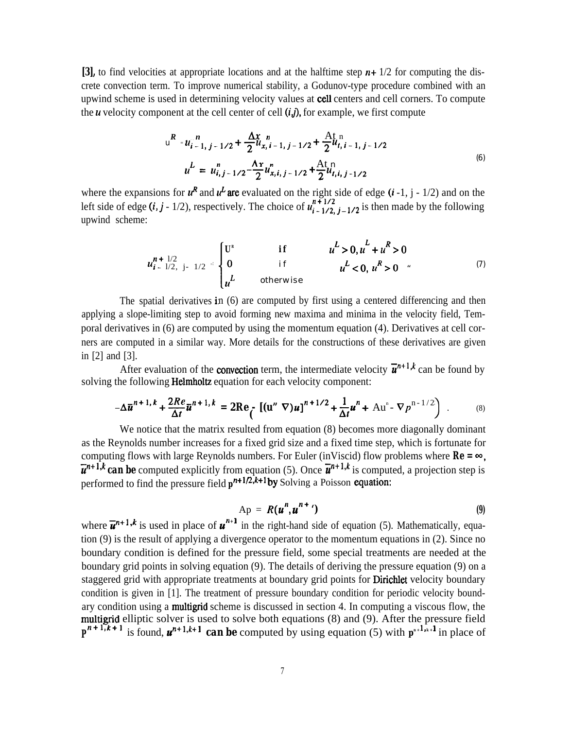*[3],* to find velocities at appropriate locations and at the halftime step  $n+1/2$  for computing the discrete convection term. To improve numerical stability, a Godunov-type procedure combined with an upwind scheme is used in determining velocity values at celt centers and cell corners. To compute the  $u$  velocity component at the cell center of cell  $(i,j)$ , for example, we first compute

$$
u^R - u_{i-1, j-1/2}^n + \frac{\Delta x}{2} u_{x, i-1, j-1/2} + \frac{\Delta t}{2} u_{t, i-1, j-1/2}
$$
  

$$
u^L = u_{i, j-1/2}^n - \frac{\Delta x}{2} u_{x, i, j-1/2}^n + \frac{\Delta t}{2} u_{t, i, j-1/2}^n
$$
  
(6)

where the expansions for  $u^R$  and  $u^L$  are evaluated on the right side of edge (i-1, j - 1/2) and on the left side of edge  $(i, j - 1/2)$ , respectively. The choice of  $u_{i-1/2, j-1/2}^*$  is then made by the following upwind scheme:

$$
u_{i-1/2, j-1/2}^{n+1/2} =\begin{cases} U^R & \text{if} & u^L > 0, u^L + u^R > 0 \\ 0 & \text{if} & u^L < 0, u^R > 0 \\ u^L & \text{otherwise} \end{cases}
$$
 (7)

The spatial derivatives n (6) are computed by first using a centered differencing and then applying a slope-limiting step to avoid forming new maxima and minima in the velocity field, Temporal derivatives in (6) are computed by using the momentum equation (4). Derivatives at cell corners are computed in a similar way. More details for the constructions of these derivatives are given in [2] and [3].

After evaluation of the **convection** term, the intermediate velocity  $\overline{u}^{n+1,k}$  can be found by solving the following **Helmholtz** equation for each velocity component:

$$
-\Delta \overline{\boldsymbol{u}}^{n+1,k} + \frac{2Re}{\Delta t} \overline{\boldsymbol{u}}^{n+1,k} = 2Re \left[ \left( \boldsymbol{u}^{\prime\prime} \nabla \right) \boldsymbol{u} \right]^{n+1/2} + \frac{1}{\Delta t} \boldsymbol{u}^{n} + \mathrm{Au}^{\mathrm{n}} \cdot \nabla p^{\mathrm{n}-1/2} \right] \tag{8}
$$

We notice that the matrix resulted from equation (8) becomes more diagonally dominant as the Reynolds number increases for a fixed grid size and a fixed time step, which is fortunate for computing flows with large Reynolds numbers. For Euler (inViscid) flow problems where  $Re = \infty$ ,  $\overline{\mathbf{u}}^{n+1,k}$  can be computed explicitly from equation (5). Once  $\overline{\mathbf{u}}^{n+1,k}$  is computed, a projection step is performed to find the pressure field  $p^{n+1/2,k+1}$  by Solving a Poisson equation:

$$
Ap = R(u^n, u^{n+1})
$$
 (9)

where  $\overline{u}^{n+1,k}$  is used in place of  $u^{n+1}$  in the right-hand side of equation (5). Mathematically, equation (9) is the result of applying a divergence operator to the momentum equations in (2). Since no boundary condition is defined for the pressure field, some special treatments are needed at the boundary grid points in solving equation (9). The details of deriving the pressure equation (9) on a staggered grid with appropriate treatments at boundary grid points for **Dirichlet** velocity boundary condition is given in [1]. The treatment of pressure boundary condition for periodic velocity boundary condition using a multigrid scheme is discussed in section 4. In computing a viscous flow, the multigrid elliptic solver is used to solve both equations (8) and (9). After the pressure field  $p^{n+1,k+1}$  is found,  $u^{n+1,k+1}$  can be computed by using equation (5) with  $p^{n+1,k+1}$  in place of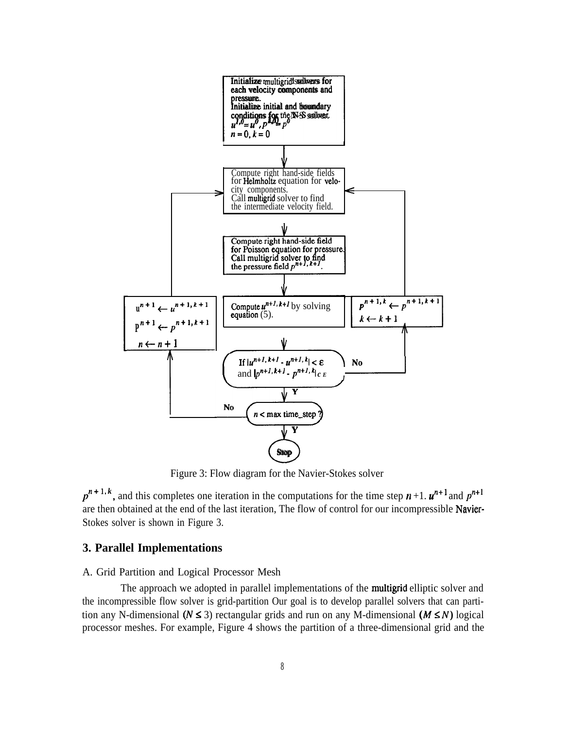

Figure 3: Flow diagram for the Navier-Stokes solver

 $p^{n+1,k}$ , and this completes one iteration in the computations for the time step  $n+1$ .  $u^{n+1}$  and  $p^{n+1}$ are then obtained at the end of the last iteration, The flow of control for our incompressible Navier-Stokes solver is shown in Figure 3.

## **3. Parallel Implementations**

## A. Grid Partition and Logical Processor Mesh

The approach we adopted in parallel implementations of the multigrid elliptic solver and the incompressible flow solver is grid-partition Our goal is to develop parallel solvers that can partition any N-dimensional ( $N \leq 3$ ) rectangular grids and run on any M-dimensional ( $M \leq N$ ) logical processor meshes. For example, Figure 4 shows the partition of a three-dimensional grid and the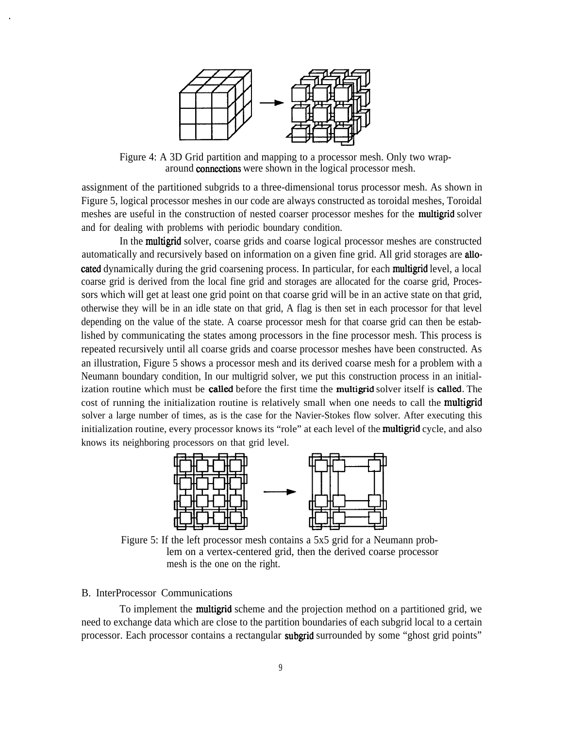

Figure 4: A 3D Grid partition and mapping to a processor mesh. Only two wrap around cmnections were shown in the logical processor mesh.

assignment of the partitioned subgrids to a three-dimensional torus processor mesh. As shown in Figure 5, logical processor meshes in our code are always constructed as toroidal meshes, Toroidal meshes are useful in the construction of nested coarser processor meshes for the multigrid solver and for dealing with problems with periodic boundary condition.

In the multigrid solver, coarse grids and coarse logical processor meshes are constructed automatically and recursively based on information on a given fine grid. All grid storages are aUocated dynamically during the grid coarsening process. In particular, for each multigrid level, a local coarse grid is derived from the local fine grid and storages are allocated for the coarse grid, Processors which will get at least one grid point on that coarse grid will be in an active state on that grid, otherwise they will be in an idle state on that grid, A flag is then set in each processor for that level depending on the value of the state. A coarse processor mesh for that coarse grid can then be established by communicating the states among processors in the fine processor mesh. This process is repeated recursively until all coarse grids and coarse processor meshes have been constructed. As an illustration, Figure 5 shows a processor mesh and its derived coarse mesh for a problem with a Neumann boundary condition, In our multigrid solver, we put this construction process in an initialization routine which must be called before the first time the multigrid solver itself is called. The cost of running the initialization routine is relatively small when one needs to call the **multigrid** solver a large number of times, as is the case for the Navier-Stokes flow solver. After executing this initialization routine, every processor knows its "role" at each level of the **multigrid** cycle, and also knows its neighboring processors on that grid level.



Figure 5: If the left processor mesh contains a 5x5 grid for a Neumann problem on a vertex-centered grid, then the derived coarse processor mesh is the one on the right.

# B. InterProcessor Communications

To implement the multigrid scheme and the projection method on a partitioned grid, we need to exchange data which are close to the partition boundaries of each subgrid local to a certain processor. Each processor contains a rectangular subgrid surrounded by some "ghost grid points"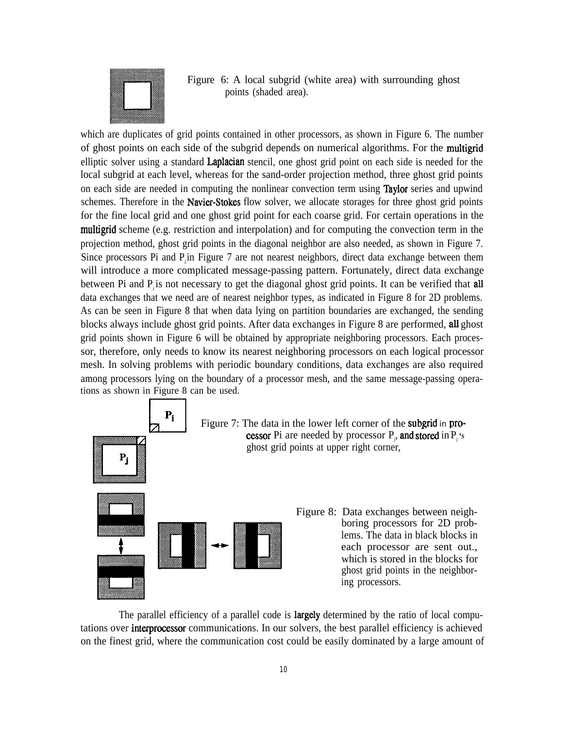

Figure 6: A local subgrid (white area) with surrounding ghost points (shaded area).

which are duplicates of grid points contained in other processors, as shown in Figure 6. The number of ghost points on each side of the subgrid depends on numerical algorithms. For the multigrid elliptic solver using a standard Laplacian stencil, one ghost grid point on each side is needed for the local subgrid at each level, whereas for the sand-order projection method, three ghost grid points on each side are needed in computing the nonlinear convection term using Taylor series and upwind schemes. Therefore in the **Navier-Stokes** flow solver, we allocate storages for three ghost grid points for the fine local grid and one ghost grid point for each coarse grid. For certain operations in the multigrid scheme (e.g. restriction and interpolation) and for computing the convection term in the projection method, ghost grid points in the diagonal neighbor are also needed, as shown in Figure 7. Since processors Pi and P in Figure 7 are not nearest neighbors, direct data exchange between them will introduce a more complicated message-passing pattern. Fortunately, direct data exchange between Pi and P<sub>i</sub> is not necessary to get the diagonal ghost grid points. It can be verified that all data exchanges that we need are of nearest neighbor types, as indicated in Figure 8 for 2D problems. As can be seen in Figure 8 that when data lying on partition boundaries are exchanged, the sending blocks always include ghost grid points. After data exchanges in Figure 8 are performed, all ghost grid points shown in Figure 6 will be obtained by appropriate neighboring processors. Each processor, therefore, only needs to know its nearest neighboring processors on each logical processor mesh. In solving problems with periodic boundary conditions, data exchanges are also required among processors lying on the boundary of a processor mesh, and the same message-passing operations as shown in Figure 8 can be used.



The parallel efficiency of a parallel code is **largely** determined by the ratio of local computations over interprocessor communications. In our solvers, the best parallel efficiency is achieved on the finest grid, where the communication cost could be easily dominated by a large amount of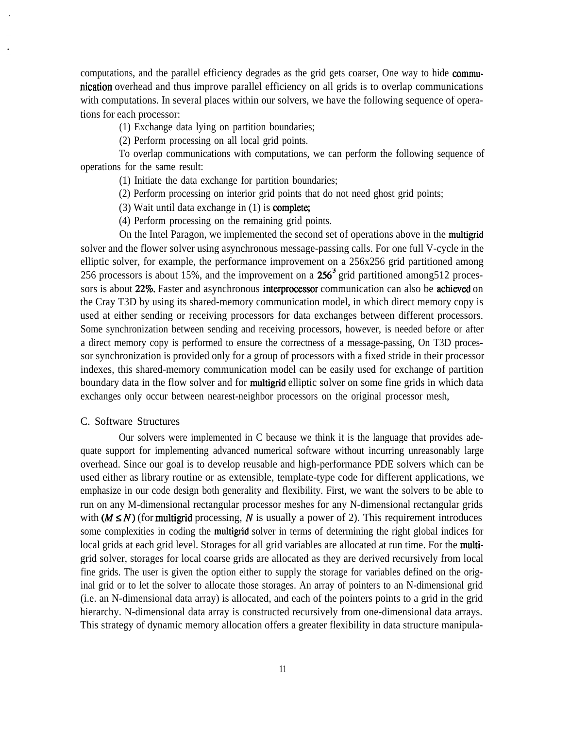computations, and the parallel efficiency degrades as the grid gets coarser, One way to hide communication overhead and thus improve parallel efficiency on all grids is to overlap communications with computations. In several places within our solvers, we have the following sequence of operations for each processor:

(1) Exchange data lying on partition boundaries;

(2) Perform processing on all local grid points.

To overlap communications with computations, we can perform the following sequence of operations for the same result:

(1) Initiate the data exchange for partition boundaries;

(2) Perform processing on interior grid points that do not need ghost grid points;

(3) Wait until data exchange in  $(1)$  is **complete;** 

(4) Perform processing on the remaining grid points.

On the Intel Paragon, we implemented the second set of operations above in the multigrid solver and the flower solver using asynchronous message-passing calls. For one full V-cycle in the elliptic solver, for example, the performance improvement on a 256x256 grid partitioned among 256 processors is about 15%, and the improvement on a  $256<sup>3</sup>$  grid partitioned among 512 processors is about 22%. Faster and asynchronous interprocessor communication can also be achieved on the Cray T3D by using its shared-memory communication model, in which direct memory copy is used at either sending or receiving processors for data exchanges between different processors. Some synchronization between sending and receiving processors, however, is needed before or after a direct memory copy is performed to ensure the correctness of a message-passing, On T3D processor synchronization is provided only for a group of processors with a fixed stride in their processor indexes, this shared-memory communication model can be easily used for exchange of partition boundary data in the flow solver and for multigrid elliptic solver on some fine grids in which data exchanges only occur between nearest-neighbor processors on the original processor mesh,

#### C. Software Structures

Our solvers were implemented in C because we think it is the language that provides adequate support for implementing advanced numerical software without incurring unreasonably large overhead. Since our goal is to develop reusable and high-performance PDE solvers which can be used either as library routine or as extensible, template-type code for different applications, we emphasize in our code design both generality and flexibility. First, we want the solvers to be able to run on any M-dimensional rectangular processor meshes for any N-dimensional rectangular grids with  $(M \le N)$  (for multigrid processing, N is usually a power of 2). This requirement introduces some complexities in coding the multigrid solver in terms of determining the right global indices for local grids at each grid level. Storages for all grid variables are allocated at run time. For the multigrid solver, storages for local coarse grids are allocated as they are derived recursively from local fine grids. The user is given the option either to supply the storage for variables defined on the original grid or to let the solver to allocate those storages. An array of pointers to an N-dimensional grid (i.e. an N-dimensional data array) is allocated, and each of the pointers points to a grid in the grid hierarchy. N-dimensional data array is constructed recursively from one-dimensional data arrays. This strategy of dynamic memory allocation offers a greater flexibility in data structure manipula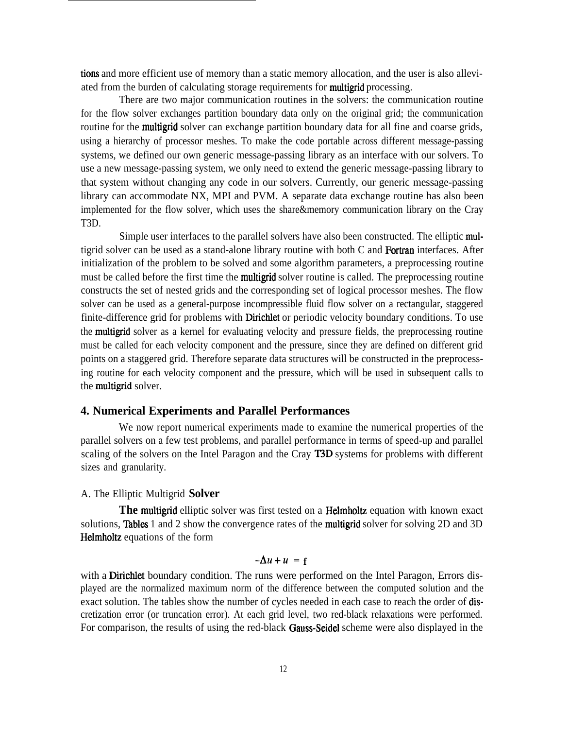tions and more efficient use of memory than a static memory allocation, and the user is also alleviated from the burden of calculating storage requirements for multigrid processing.

There are two major communication routines in the solvers: the communication routine for the flow solver exchanges partition boundary data only on the original grid; the communication routine for the **multigrid** solver can exchange partition boundary data for all fine and coarse grids, using a hierarchy of processor meshes. To make the code portable across different message-passing systems, we defined our own generic message-passing library as an interface with our solvers. To use a new message-passing system, we only need to extend the generic message-passing library to that system without changing any code in our solvers. Currently, our generic message-passing library can accommodate NX, MPI and PVM. A separate data exchange routine has also been implemented for the flow solver, which uses the share&memory communication library on the Cray T3D.

Simple user interfaces to the parallel solvers have also been constructed. The elliptic multigrid solver can be used as a stand-alone library routine with both C and Fortran interfaces. After initialization of the problem to be solved and some algorithm parameters, a preprocessing routine must be called before the first time the multigrid solver routine is called. The preprocessing routine constructs the set of nested grids and the corresponding set of logical processor meshes. The flow solver can be used as a general-purpose incompressible fluid flow solver on a rectangular, staggered finite-difference grid for problems with **Dirichlet** or periodic velocity boundary conditions. To use the multigrid solver as a kernel for evaluating velocity and pressure fields, the preprocessing routine must be called for each velocity component and the pressure, since they are defined on different grid points on a staggered grid. Therefore separate data structures will be constructed in the preprocessing routine for each velocity component and the pressure, which will be used in subsequent calls to the multigrid solver.

## **4. Numerical Experiments and Parallel Performances**

We now report numerical experiments made to examine the numerical properties of the parallel solvers on a few test problems, and parallel performance in terms of speed-up and parallel scaling of the solvers on the Intel Paragon and the Cray T3D systems for problems with different sizes and granularity.

## A. The Elliptic Multigrid **Solver**

**The** multigrid elliptic solver was first tested on a Helmholtz equation with known exact solutions, **Tables** 1 and 2 show the convergence rates of the **multigrid** solver for solving 2D and 3D Helmholtz equations of the form

# *-Au+u = f*

with a Dirichlet boundary condition. The runs were performed on the Intel Paragon, Errors displayed are the normalized maximum norm of the difference between the computed solution and the exact solution. The tables show the number of cycles needed in each case to reach the order of discretization error (or truncation error). At each grid level, two red-black relaxations were performed. For comparison, the results of using the red-black Gauss-Seidel scheme were also displayed in the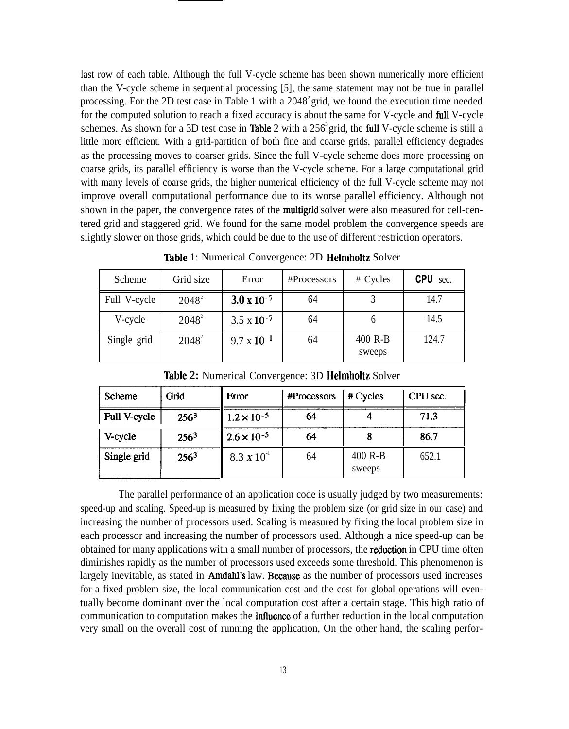last row of each table. Although the full V-cycle scheme has been shown numerically more efficient than the V-cycle scheme in sequential processing [5], the same statement may not be true in parallel processing. For the 2D test case in Table 1 with a 2048<sup>2</sup> grid, we found the execution time needed for the computed solution to reach a fixed accuracy is about the same for V-cycle and full V-cycle schemes. As shown for a 3D test case in Table 2 with a  $256<sup>3</sup>$  grid, the full V-cycle scheme is still a little more efficient. With a grid-partition of both fine and coarse grids, parallel efficiency degrades as the processing moves to coarser grids. Since the full V-cycle scheme does more processing on coarse grids, its parallel efficiency is worse than the V-cycle scheme. For a large computational grid with many levels of coarse grids, the higher numerical efficiency of the full V-cycle scheme may not improve overall computational performance due to its worse parallel efficiency. Although not shown in the paper, the convergence rates of the multigrid solver were also measured for cell-centered grid and staggered grid. We found for the same model problem the convergence speeds are slightly slower on those grids, which could be due to the use of different restriction operators.

| Scheme       | Grid size | Error                | #Processors | # Cycles          | CPU sec. |
|--------------|-----------|----------------------|-------------|-------------------|----------|
| Full V-cycle | $2048^2$  | $3.0 \times 10^{-7}$ | 64          |                   | 14.7     |
| V-cycle      | $2048^2$  | $3.5 \times 10^{-7}$ | 64          | b                 | 14.5     |
| Single grid  | $2048^2$  | $9.7 \times 10^{-1}$ | 64          | 400 R-B<br>sweeps | 124.7    |

Table 1: Numerical Convergence: 2D Helmholtz Solver

| Scheme              | Grid             | <b>Error</b>             | #Processors | # Cycles          | CPU sec. |
|---------------------|------------------|--------------------------|-------------|-------------------|----------|
| <b>Full V-cycle</b> | 256 <sup>3</sup> | $1.2 \times 10^{-5}$     | 64          |                   | 71.3     |
| V-cycle             | 256 <sup>3</sup> | $2.6 \times 10^{-5}$     | 64          |                   | 86.7     |
| Single grid         | 256 <sup>3</sup> | 8.3 $X$ 10 <sup>-1</sup> | 64          | 400 R-B<br>sweeps | 652.1    |

Table 2: Numerical Convergence: 3D Helmholtz Solver

The parallel performance of an application code is usually judged by two measurements: speed-up and scaling. Speed-up is measured by fixing the problem size (or grid size in our case) and increasing the number of processors used. Scaling is measured by fixing the local problem size in each processor and increasing the number of processors used. Although a nice speed-up can be obtained for many applications with a small number of processors, the **reduction** in CPU time often diminishes rapidly as the number of processors used exceeds some threshold. This phenomenon is largely inevitable, as stated in **Amdahl's** law. Because as the number of processors used increases for a fixed problem size, the local communication cost and the cost for global operations will eventually become dominant over the local computation cost after a certain stage. This high ratio of communication to computation makes the inftuence of a further reduction in the local computation very small on the overall cost of running the application, On the other hand, the scaling perfor-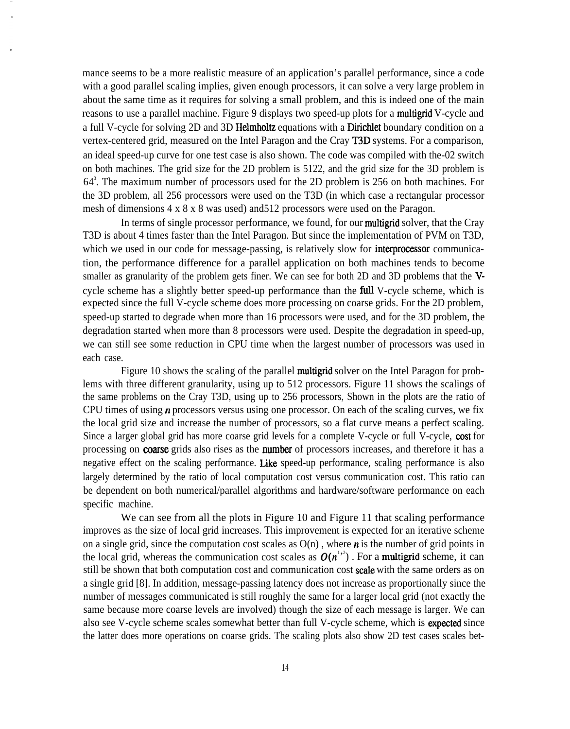mance seems to be a more realistic measure of an application's parallel performance, since a code with a good parallel scaling implies, given enough processors, it can solve a very large problem in about the same time as it requires for solving a small problem, and this is indeed one of the main reasons to use a parallel machine. Figure 9 displays two speed-up plots for a multigrid V-cycle and a full V-cycle for solving 2D and 3D Helmholtz equations with a Ditichlet boundary condition on a vertex-centered grid, measured on the Intel Paragon and the Cray T3D systems. For a comparison, an ideal speed-up curve for one test case is also shown. The code was compiled with the-02 switch on both machines. The grid size for the 2D problem is 5122, and the grid size for the 3D problem is 64<sup>3</sup> . The maximum number of processors used for the 2D problem is 256 on both machines. For the 3D problem, all 256 processors were used on the T3D (in which case a rectangular processor mesh of dimensions 4 x 8 x 8 was used) and512 processors were used on the Paragon.

In terms of single processor performance, we found, for our multigrid solver, that the Cray T3D is about 4 times faster than the Intel Paragon. But since the implementation of PVM on T3D, which we used in our code for message-passing, is relatively slow for **interprocessor** communication, the performance difference for a parallel application on both machines tends to become smaller as granularity of the problem gets finer. We can see for both 2D and 3D problems that the Vcycle scheme has a slightly better speed-up performance than the full V-cycle scheme, which is expected since the full V-cycle scheme does more processing on coarse grids. For the 2D problem, speed-up started to degrade when more than 16 processors were used, and for the 3D problem, the degradation started when more than 8 processors were used. Despite the degradation in speed-up, we can still see some reduction in CPU time when the largest number of processors was used in each case.

Figure 10 shows the scaling of the parallel multigrid solver on the Intel Paragon for problems with three different granularity, using up to 512 processors. Figure 11 shows the scalings of the same problems on the Cray T3D, using up to 256 processors, Shown in the plots are the ratio of CPU times of using  $n$  processors versus using one processor. On each of the scaling curves, we fix the local grid size and increase the number of processors, so a flat curve means a perfect scaling. Since a larger global grid has more coarse grid levels for a complete V-cycle or full V-cycle, cost for processing on **coarse** grids also rises as the **number** of processors increases, and therefore it has a negative effect on the scaling performance. Like speed-up performance, scaling performance is also largely determined by the ratio of local computation cost versus communication cost. This ratio can be dependent on both numerical/parallel algorithms and hardware/software performance on each specific machine.

We can see from all the plots in Figure 10 and Figure 11 that scaling performance improves as the size of local grid increases. This improvement is expected for an iterative scheme on a single grid, since the computation cost scales as  $O(n)$ , where *n* is the number of grid points in the local grid, whereas the communication cost scales as  $O(n^{1/2})$ . For a **multigrid** scheme, it can still be shown that both computation cost and communication cost scale with the same orders as on a single grid [8]. In addition, message-passing latency does not increase as proportionally since the number of messages communicated is still roughly the same for a larger local grid (not exactly the same because more coarse levels are involved) though the size of each message is larger. We can also see V-cycle scheme scales somewhat better than full V-cycle scheme, which is expected since the latter does more operations on coarse grids. The scaling plots also show 2D test cases scales bet-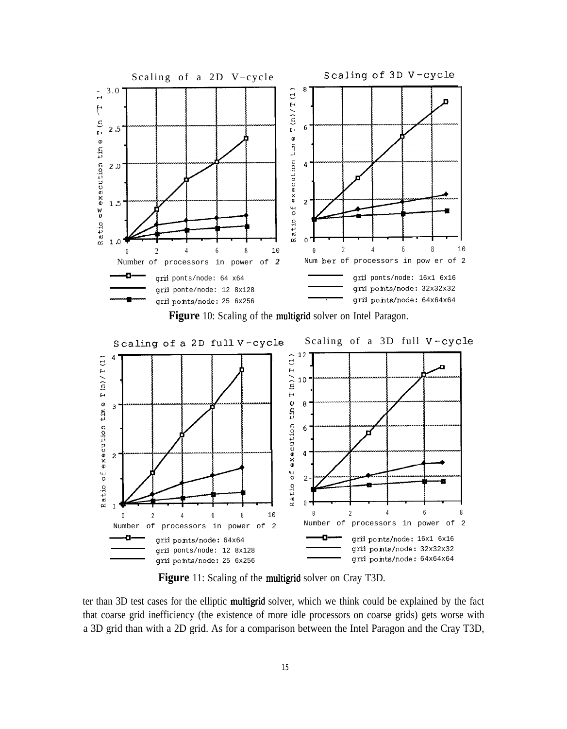

**Figure** 11: Scaling of the multigrid solver on Cray T3D.

ter than 3D test cases for the elliptic multigrid solver, which we think could be explained by the fact that coarse grid inefficiency (the existence of more idle processors on coarse grids) gets worse with a 3D grid than with a 2D grid. As for a comparison between the Intel Paragon and the Cray T3D,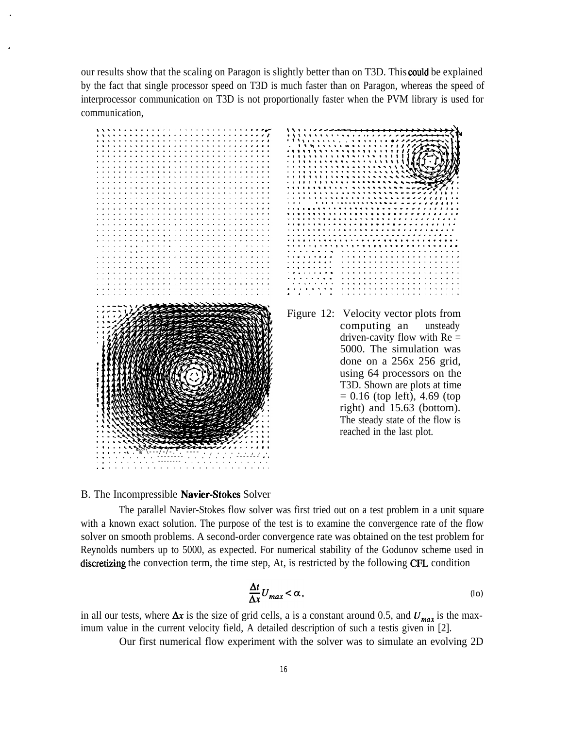our results show that the scaling on Paragon is slightly better than on T3D. This could be explained by the fact that single processor speed on T3D is much faster than on Paragon, whereas the speed of interprocessor communication on T3D is not proportionally faster when the PVM library is used for communication,



#### B. The Incompressible Navier-Stokes Solver

The parallel Navier-Stokes flow solver was first tried out on a test problem in a unit square with a known exact solution. The purpose of the test is to examine the convergence rate of the flow solver on smooth problems. A second-order convergence rate was obtained on the test problem for Reynolds numbers up to 5000, as expected. For numerical stability of the Godunov scheme used in discretizing the convection term, the time step, At, is restricted by the following CFL condition

$$
\frac{\Delta t}{\Delta x} U_{max} < \alpha \tag{lo}
$$

in all our tests, where  $\Delta x$  is the size of grid cells, a is a constant around 0.5, and  $U_{max}$  is the maximum value in the current velocity field, A detailed description of such a testis given in [2].

Our first numerical flow experiment with the solver was to simulate an evolving 2D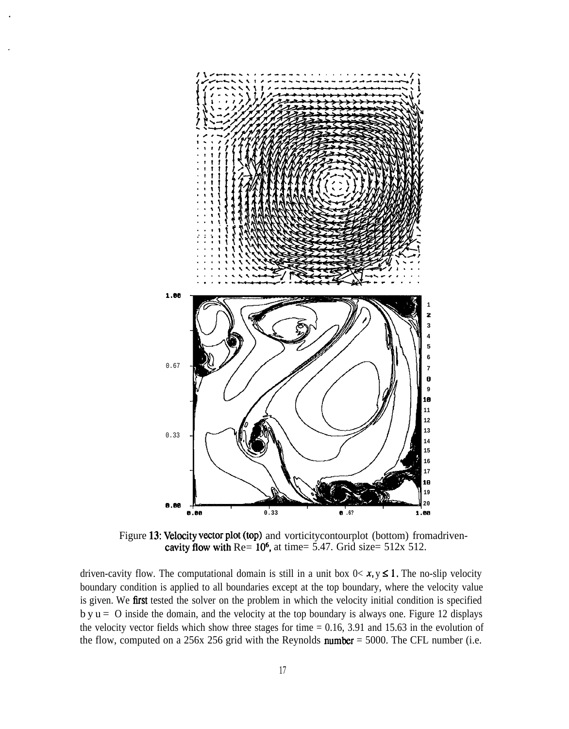

Figure 13: Velocity vector plot (top) and vorticity contourplot (bottom) from a drivencavity flow with  $Re = 10^6$ , at time= 5.47. Grid size= 512x 512.

driven-cavity flow. The computational domain is still in a unit box  $0 < x, y \le 1$ . The no-slip velocity boundary condition is applied to all boundaries except at the top boundary, where the velocity value is given. We first tested the solver on the problem in which the velocity initial condition is specified  $b$  y  $u = 0$  inside the domain, and the velocity at the top boundary is always one. Figure 12 displays the velocity vector fields which show three stages for time  $= 0.16, 3.91$  and 15.63 in the evolution of the flow, computed on a 256x 256 grid with the Reynolds **number** = 5000. The CFL number (i.e.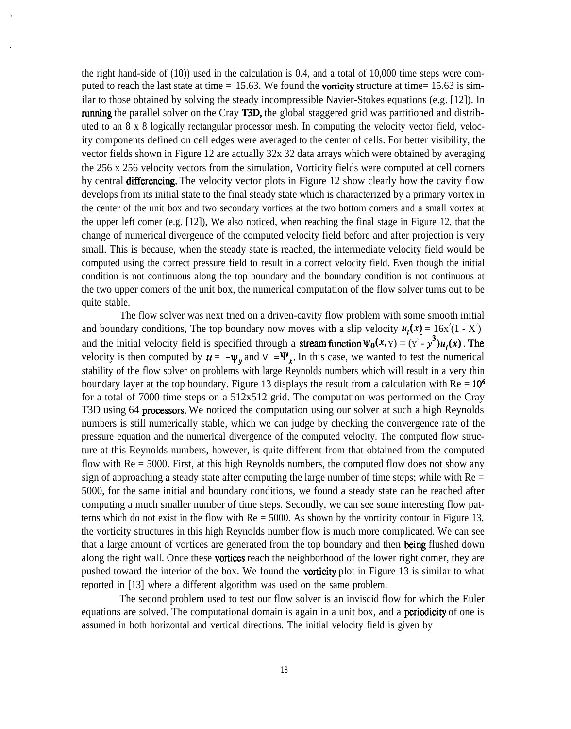the right hand-side of (10)) used in the calculation is 0.4, and a total of 10,000 time steps were computed to reach the last state at time  $= 15.63$ . We found the **vorticity** structure at time  $= 15.63$  is similar to those obtained by solving the steady incompressible Navier-Stokes equations (e.g. [12]). In nmning the parallel solver on the Cray T3D, the global staggered grid was partitioned and distributed to an 8 x 8 logically rectangular processor mesh. In computing the velocity vector field, velocity components defined on cell edges were averaged to the center of cells. For better visibility, the vector fields shown in Figure 12 are actually 32x 32 data arrays which were obtained by averaging the 256 x 256 velocity vectors from the simulation, Vorticity fields were computed at cell corners by central **differencing**. The velocity vector plots in Figure 12 show clearly how the cavity flow develops from its initial state to the final steady state which is characterized by a primary vortex in the center of the unit box and two secondary vortices at the two bottom corners and a small vortex at the upper left comer (e.g. [12]), We also noticed, when reaching the final stage in Figure 12, that the change of numerical divergence of the computed velocity field before and after projection is very small. This is because, when the steady state is reached, the intermediate velocity field would be computed using the correct pressure field to result in a correct velocity field. Even though the initial condition is not continuous along the top boundary and the boundary condition is not continuous at the two upper comers of the unit box, the numerical computation of the flow solver turns out to be quite stable.

The flow solver was next tried on a driven-cavity flow problem with some smooth initial and boundary conditions, The top boundary now moves with a slip velocity  $u_t(x) = 16x^2(1 - X^2)$ and the initial velocity field is specified through a **stream function**  $\Psi_0(x, y) = (y^2 - y^3)u_t(x)$ . The velocity is then computed by  $u = -\psi_y$  and  $V = \Psi_x$ . In this case, we wanted to test the numerical stability of the flow solver on problems with large Reynolds numbers which will result in a very thin boundary layer at the top boundary. Figure 13 displays the result from a calculation with  $Re = 10^6$ for a total of 7000 time steps on a 512x512 grid. The computation was performed on the Cray T3D using 64 processors. We noticed the computation using our solver at such a high Reynolds numbers is still numerically stable, which we can judge by checking the convergence rate of the pressure equation and the numerical divergence of the computed velocity. The computed flow structure at this Reynolds numbers, however, is quite different from that obtained from the computed flow with Re = 5000. First, at this high Reynolds numbers, the computed flow does not show any sign of approaching a steady state after computing the large number of time steps; while with  $Re =$ 5000, for the same initial and boundary conditions, we found a steady state can be reached after computing a much smaller number of time steps. Secondly, we can see some interesting flow patterns which do not exist in the flow with  $Re = 5000$ . As shown by the vorticity contour in Figure 13, the vorticity structures in this high Reynolds number flow is much more complicated. We can see that a large amount of vortices are generated from the top boundary and then being flushed down along the right wall. Once these **vortices** reach the neighborhood of the lower right comer, they are pushed toward the interior of the box. We found the **vorticity** plot in Figure 13 is similar to what reported in [13] where a different algorithm was used on the same problem.

The second problem used to test our flow solver is an inviscid flow for which the Euler equations are solved. The computational domain is again in a unit box, and a **periodicity** of one is assumed in both horizontal and vertical directions. The initial velocity field is given by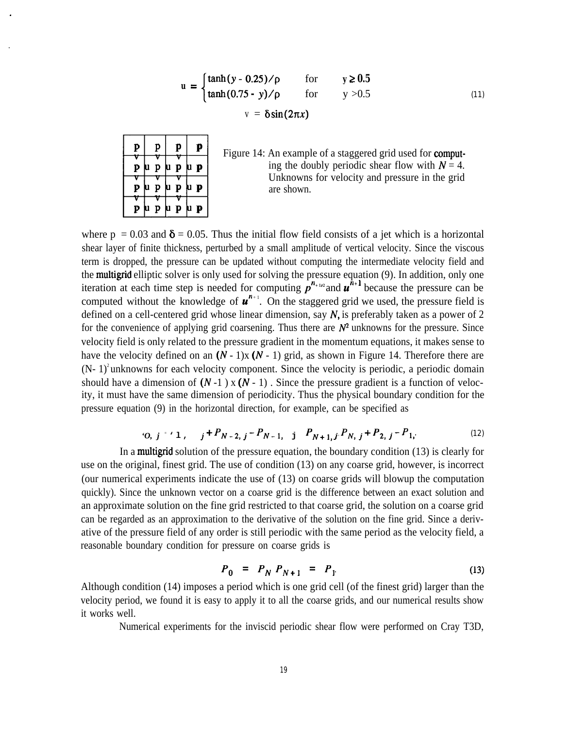$$
u = \begin{cases} \tanh(y - 0.25) / \rho & \text{for} \qquad y \ge 0.5\\ \tanh(0.75 - y) / \rho & \text{for} \qquad y > 0.5 \end{cases}
$$
(11)  

$$
v = \delta \sin(2\pi x)
$$

| $\mathbf{p}$ | p |   | $\mathbf{p}$ |   |   |
|--------------|---|---|--------------|---|---|
| μ            | ρ | u | р            |   |   |
|              | р |   | р            |   |   |
| μ            | p | u | p            | Ш | р |

Figure 14: An example of a staggered grid used for computing the doubly periodic shear flow with  $N = 4$ . Unknowns for velocity and pressure in the grid are shown.

where  $p = 0.03$  and  $\delta = 0.05$ . Thus the initial flow field consists of a jet which is a horizontal shear layer of finite thickness, perturbed by a small amplitude of vertical velocity. Since the viscous term is dropped, the pressure can be updated without computing the intermediate velocity field and the multigrid elliptic solver is only used for solving the pressure equation (9). In addition, only one iteration at each time step is needed for computing  $p^{n+1}$  and  $u^{n+1}$  because the pressure can be computed without the knowledge of  $\boldsymbol{u}^{n+1}$ . On the staggered grid we used, the pressure field is defined on a cell-centered grid whose linear dimension, say  $N$ , is preferably taken as a power of 2 for the convenience of applying grid coarsening. Thus there are  $N^2$  unknowns for the pressure. Since velocity field is only related to the pressure gradient in the momentum equations, it makes sense to have the velocity defined on an  $(N - 1)x (N - 1)$  grid, as shown in Figure 14. Therefore there are  $(N-1)^2$ unknowns for each velocity component. Since the velocity is periodic, a periodic domain should have a dimension of  $(N-1)$  x  $(N-1)$ . Since the pressure gradient is a function of velocity, it must have the same dimension of periodicity. Thus the physical boundary condition for the pressure equation (9) in the horizontal direction, for example, can be specified as

$$
P_{N-1}, \quad j+P_{N-2}, \quad j-P_{N-1}, \quad j-P_{N+1}, \quad P_{N+1}, \quad j+P_{2}, \quad j-P_{1}, \quad (12)
$$

In a multigrid solution of the pressure equation, the boundary condition (13) is clearly for use on the original, finest grid. The use of condition (13) on any coarse grid, however, is incorrect (our numerical experiments indicate the use of (13) on coarse grids will blowup the computation quickly). Since the unknown vector on a coarse grid is the difference between an exact solution and an approximate solution on the fine grid restricted to that coarse grid, the solution on a coarse grid can be regarded as an approximation to the derivative of the solution on the fine grid. Since a derivative of the pressure field of any order is still periodic with the same period as the velocity field, a reasonable boundary condition for pressure on coarse grids is

$$
P_0 = P_N P_{N+1} = P_1. \tag{13}
$$

Although condition (14) imposes a period which is one grid cell (of the finest grid) larger than the velocity period, we found it is easy to apply it to all the coarse grids, and our numerical results show it works well.

Numerical experiments for the inviscid periodic shear flow were performed on Cray T3D,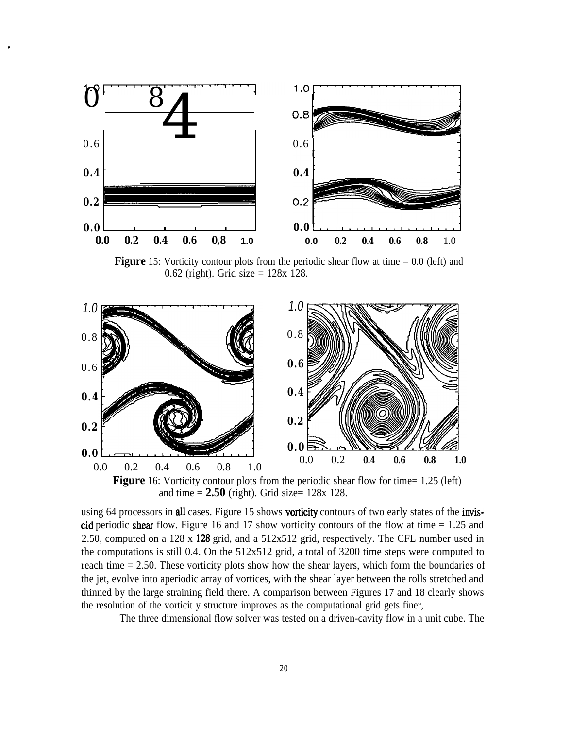

.

**Figure** 15: Vorticity contour plots from the periodic shear flow at time = 0.0 (left) and 0.62 (right). Grid size =  $128x$  128.



**Figure** 16: Vorticity contour plots from the periodic shear flow for time= 1.25 (left) and time = **2.50** (right). Grid size= 128x 128.

using 64 processors in all cases. Figure 15 shows vorticity contours of two early states of the inviscid periodic shear flow. Figure 16 and 17 show vorticity contours of the flow at time  $= 1.25$  and 2.50, computed on a 128 x 128 grid, and a 512x512 grid, respectively. The CFL number used in the computations is still 0.4. On the 512x512 grid, a total of 3200 time steps were computed to reach time = 2.50. These vorticity plots show how the shear layers, which form the boundaries of the jet, evolve into aperiodic array of vortices, with the shear layer between the rolls stretched and thinned by the large straining field there. A comparison between Figures 17 and 18 clearly shows the resolution of the vorticit y structure improves as the computational grid gets finer,

The three dimensional flow solver was tested on a driven-cavity flow in a unit cube. The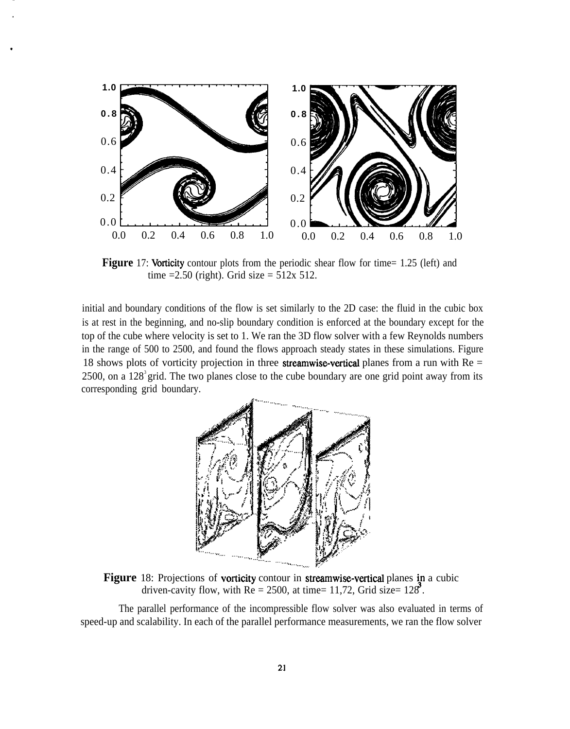

**Figure** 17: Vorticity contour plots from the periodic shear flow for time= 1.25 (left) and time =  $2.50$  (right). Grid size =  $512x$  512.

initial and boundary conditions of the flow is set similarly to the 2D case: the fluid in the cubic box is at rest in the beginning, and no-slip boundary condition is enforced at the boundary except for the top of the cube where velocity is set to 1. We ran the 3D flow solver with a few Reynolds numbers in the range of 500 to 2500, and found the flows approach steady states in these simulations. Figure 18 shows plots of vorticity projection in three **streamwise-vertical** planes from a run with  $Re =$ 2500, on a  $128^3$  grid. The two planes close to the cube boundary are one grid point away from its corresponding grid boundary.



Figure 18: Projections of vorticity contour in streamwise-vertical planes in a cubic driven-cavity flow, with  $Re = 2500$ , at time= 11,72, Grid size=  $128^\circ$ .

The parallel performance of the incompressible flow solver was also evaluated in terms of speed-up and scalability. In each of the parallel performance measurements, we ran the flow solver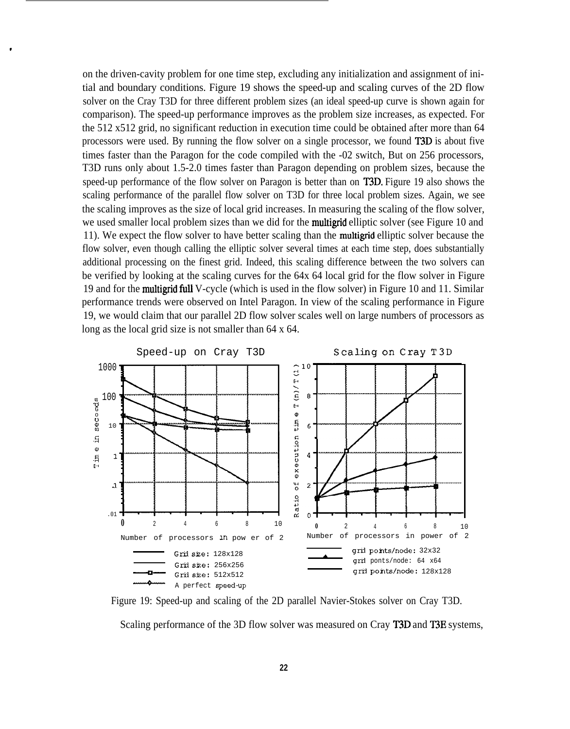on the driven-cavity problem for one time step, excluding any initialization and assignment of initial and boundary conditions. Figure 19 shows the speed-up and scaling curves of the 2D flow solver on the Cray T3D for three different problem sizes (an ideal speed-up curve is shown again for comparison). The speed-up performance improves as the problem size increases, as expected. For the 512 x512 grid, no significant reduction in execution time could be obtained after more than 64 processors were used. By running the flow solver on a single processor, we found T3D is about five times faster than the Paragon for the code compiled with the -02 switch, But on 256 processors, T3D runs only about 1.5-2.0 times faster than Paragon depending on problem sizes, because the speed-up performance of the flow solver on Paragon is better than on T3D. Figure 19 also shows the scaling performance of the parallel flow solver on T3D for three local problem sizes. Again, we see the scaling improves as the size of local grid increases. In measuring the scaling of the flow solver, we used smaller local problem sizes than we did for the multigrid elliptic solver (see Figure 10 and 11). We expect the flow solver to have better scaling than the multigrid elliptic solver because the flow solver, even though calling the elliptic solver several times at each time step, does substantially additional processing on the finest grid. Indeed, this scaling difference between the two solvers can be verified by looking at the scaling curves for the 64x 64 local grid for the flow solver in Figure 19 and for the multigrid full V-cycle (which is used in the flow solver) in Figure 10 and 11. Similar performance trends were observed on Intel Paragon. In view of the scaling performance in Figure 19, we would claim that our parallel 2D flow solver scales well on large numbers of processors as long as the local grid size is not smaller than 64 x 64.



Figure 19: Speed-up and scaling of the 2D parallel Navier-Stokes solver on Cray T3D.

Scaling performance of the 3D flow solver was measured on Cray T3D and T3E systems,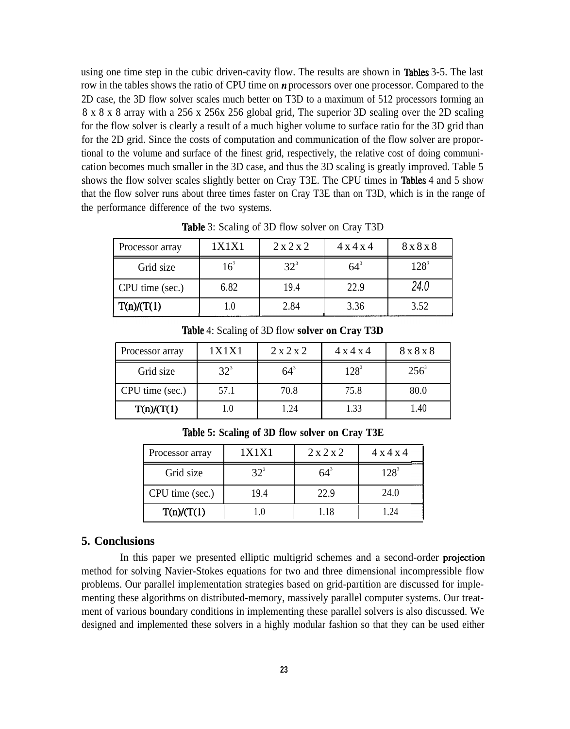using one time step in the cubic driven-cavity flow. The results are shown in Tables 3-5. The last row in the tables shows the ratio of CPU time on *n* processors over one processor. Compared to the 2D case, the 3D flow solver scales much better on T3D to a maximum of 512 processors forming an 8 x 8 x 8 array with a 256 x 256x 256 global grid, The superior 3D sealing over the 2D scaling for the flow solver is clearly a result of a much higher volume to surface ratio for the 3D grid than for the 2D grid. Since the costs of computation and communication of the flow solver are proportional to the volume and surface of the finest grid, respectively, the relative cost of doing communication becomes much smaller in the 3D case, and thus the 3D scaling is greatly improved. Table 5 shows the flow solver scales slightly better on Cray T3E. The CPU times in Tables 4 and 5 show that the flow solver runs about three times faster on Cray T3E than on T3D, which is in the range of the performance difference of the two systems.

| Processor array | 1 X 1 X 1 | 2x2x2  | $4 \times 4 \times 4$ | 8 x 8 x 8 |
|-----------------|-----------|--------|-----------------------|-----------|
| Grid size       | $16^3$    | $32^3$ | $64^{3}$              | $128^{3}$ |
| CPU time (sec.) | 6.82      | 19.4   | 22.9                  | 24.O      |
| T(n)/(T(1))     | !.0       | 2.84   | 3.36                  | 3.52      |

**Table** 3: Scaling of 3D flow solver on Cray T3D

| <b>Table</b> 4: Scaling of 3D flow solver on Cray T3D |  |  |
|-------------------------------------------------------|--|--|
|-------------------------------------------------------|--|--|

| Processor array | 1X1X1  | 2x2x2    | $4 \times 4 \times 4$ | 8 x 8 x 8 |
|-----------------|--------|----------|-----------------------|-----------|
| Grid size       | $32^3$ | $64^{3}$ | $128^{3}$             | $256^3$   |
| CPU time (sec.) | 57.1   | 70.8     | 75.8                  | 80.0      |
| T(n)/(T(1))     |        | 1.24     | 1.33                  | 1.40      |

Table 5: Scaling of 3D flow solver on Cray T3E

| Processor array | 1 X 1 X 1 | 2x2x2  | 4x4x4     |
|-----------------|-----------|--------|-----------|
| Grid size       | $32^3$    | $64^3$ | $128^{3}$ |
| CPU time (sec.) | 19.4      | 22.9   | 24.0      |
| T(n)/(T(1))     |           | 1.18   | - 74      |

# **5. Conclusions**

In this paper we presented elliptic multigrid schemes and a second-order projection method for solving Navier-Stokes equations for two and three dimensional incompressible flow problems. Our parallel implementation strategies based on grid-partition are discussed for implementing these algorithms on distributed-memory, massively parallel computer systems. Our treatment of various boundary conditions in implementing these parallel solvers is also discussed. We designed and implemented these solvers in a highly modular fashion so that they can be used either